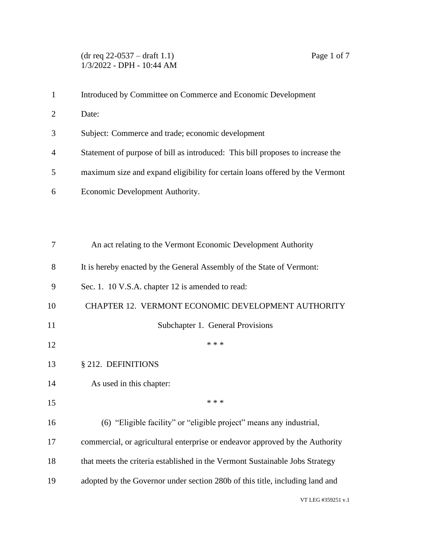| $\mathbf{1}$   | Introduced by Committee on Commerce and Economic Development                   |
|----------------|--------------------------------------------------------------------------------|
| $\overline{2}$ | Date:                                                                          |
| 3              | Subject: Commerce and trade; economic development                              |
| 4              | Statement of purpose of bill as introduced: This bill proposes to increase the |
| 5              | maximum size and expand eligibility for certain loans offered by the Vermont   |
| 6              | Economic Development Authority.                                                |
|                |                                                                                |
|                |                                                                                |
| 7              | An act relating to the Vermont Economic Development Authority                  |
| 8              | It is hereby enacted by the General Assembly of the State of Vermont:          |
| 9              | Sec. 1. 10 V.S.A. chapter 12 is amended to read:                               |
| 10             | <b>CHAPTER 12. VERMONT ECONOMIC DEVELOPMENT AUTHORITY</b>                      |
| 11             | Subchapter 1. General Provisions                                               |
| 12             | * * *                                                                          |
| 13             | § 212. DEFINITIONS                                                             |
| 14             | As used in this chapter:                                                       |
| 15             | * * *                                                                          |
| 16             | (6) "Eligible facility" or "eligible project" means any industrial,            |
| 17             | commercial, or agricultural enterprise or endeavor approved by the Authority   |
| 18             | that meets the criteria established in the Vermont Sustainable Jobs Strategy   |
| 19             | adopted by the Governor under section 280b of this title, including land and   |
|                |                                                                                |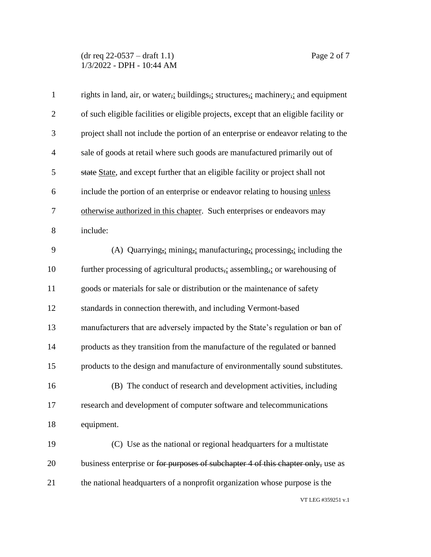(dr req 22-0537 – draft 1.1) Page 2 of 7 1/3/2022 - DPH - 10:44 AM

| $\mathbf{1}$   | rights in land, air, or water, j buildings, i structures, machinery, and equipment                                      |
|----------------|-------------------------------------------------------------------------------------------------------------------------|
| $\overline{2}$ | of such eligible facilities or eligible projects, except that an eligible facility or                                   |
| 3              | project shall not include the portion of an enterprise or endeavor relating to the                                      |
| $\overline{4}$ | sale of goods at retail where such goods are manufactured primarily out of                                              |
| 5              | state State, and except further that an eligible facility or project shall not                                          |
| 6              | include the portion of an enterprise or endeavor relating to housing unless                                             |
| 7              | otherwise authorized in this chapter. Such enterprises or endeavors may                                                 |
| 8              | include:                                                                                                                |
| 9              | (A) Quarrying <sub>7</sub> : mining <sub>7</sub> : manufacturing <sub>7</sub> : processing <sub>7</sub> : including the |
| 10             | further processing of agricultural products, assembling, or warehousing of                                              |
| 11             | goods or materials for sale or distribution or the maintenance of safety                                                |
| 12             | standards in connection therewith, and including Vermont-based                                                          |
| 13             | manufacturers that are adversely impacted by the State's regulation or ban of                                           |
| 14             | products as they transition from the manufacture of the regulated or banned                                             |
| 15             | products to the design and manufacture of environmentally sound substitutes.                                            |
| 16             | (B) The conduct of research and development activities, including                                                       |
| 17             | research and development of computer software and telecommunications                                                    |
| 18             | equipment.                                                                                                              |
| 19             | (C) Use as the national or regional headquarters for a multistate                                                       |
| 20             | business enterprise or for purposes of subchapter 4 of this chapter only, use as                                        |
| 21             | the national headquarters of a nonprofit organization whose purpose is the                                              |
|                | VT LEG #359251 v.1                                                                                                      |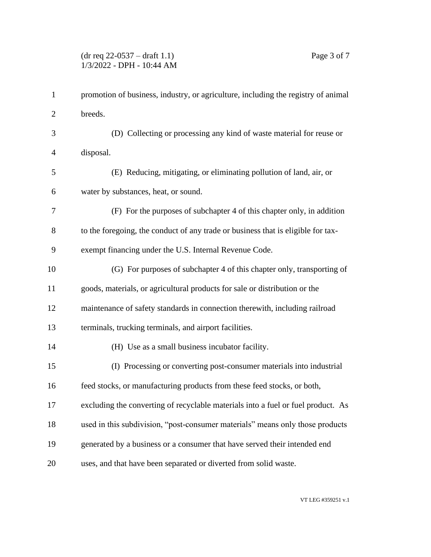## (dr req 22-0537 – draft 1.1) Page 3 of 7 1/3/2022 - DPH - 10:44 AM

| 1              | promotion of business, industry, or agriculture, including the registry of animal |
|----------------|-----------------------------------------------------------------------------------|
| $\overline{c}$ | breeds.                                                                           |
| 3              | (D) Collecting or processing any kind of waste material for reuse or              |
| 4              | disposal.                                                                         |
| 5              | (E) Reducing, mitigating, or eliminating pollution of land, air, or               |
| 6              | water by substances, heat, or sound.                                              |
| 7              | (F) For the purposes of subchapter 4 of this chapter only, in addition            |
| 8              | to the foregoing, the conduct of any trade or business that is eligible for tax-  |
| 9              | exempt financing under the U.S. Internal Revenue Code.                            |
| 10             | (G) For purposes of subchapter 4 of this chapter only, transporting of            |
| 11             | goods, materials, or agricultural products for sale or distribution or the        |
| 12             | maintenance of safety standards in connection therewith, including railroad       |
| 13             | terminals, trucking terminals, and airport facilities.                            |
| 14             | (H) Use as a small business incubator facility.                                   |
| 15             | (I) Processing or converting post-consumer materials into industrial              |
| 16             | feed stocks, or manufacturing products from these feed stocks, or both,           |
| 17             | excluding the converting of recyclable materials into a fuel or fuel product. As  |
| 18             | used in this subdivision, "post-consumer materials" means only those products     |
| 19             | generated by a business or a consumer that have served their intended end         |
| 20             | uses, and that have been separated or diverted from solid waste.                  |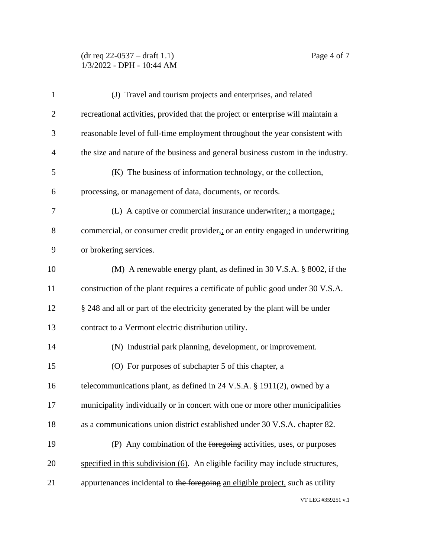## (dr req 22-0537 – draft 1.1) Page 4 of 7 1/3/2022 - DPH - 10:44 AM

| $\mathbf{1}$   | (J) Travel and tourism projects and enterprises, and related                       |
|----------------|------------------------------------------------------------------------------------|
| $\overline{2}$ | recreational activities, provided that the project or enterprise will maintain a   |
| 3              | reasonable level of full-time employment throughout the year consistent with       |
| 4              | the size and nature of the business and general business custom in the industry.   |
| 5              | (K) The business of information technology, or the collection,                     |
| 6              | processing, or management of data, documents, or records.                          |
| 7              | (L) A captive or commercial insurance underwriter, $\frac{1}{2}$ a mortgage,       |
| 8              | commercial, or consumer credit provider, or an entity engaged in underwriting      |
| 9              | or brokering services.                                                             |
| 10             | (M) A renewable energy plant, as defined in $30 \text{ V.S.A.}$ \$ $8002$ , if the |
| 11             | construction of the plant requires a certificate of public good under 30 V.S.A.    |
| 12             | § 248 and all or part of the electricity generated by the plant will be under      |
| 13             | contract to a Vermont electric distribution utility.                               |
| 14             | (N) Industrial park planning, development, or improvement.                         |
| 15             | (O) For purposes of subchapter 5 of this chapter, a                                |
| 16             | telecommunications plant, as defined in 24 V.S.A. § 1911(2), owned by a            |
| 17             | municipality individually or in concert with one or more other municipalities      |
| 18             | as a communications union district established under 30 V.S.A. chapter 82.         |
| 19             | (P) Any combination of the foregoing activities, uses, or purposes                 |
| 20             | specified in this subdivision (6). An eligible facility may include structures,    |
| 21             | appurtenances incidental to the foregoing an eligible project, such as utility     |
|                | VT LEG #359251 v.1                                                                 |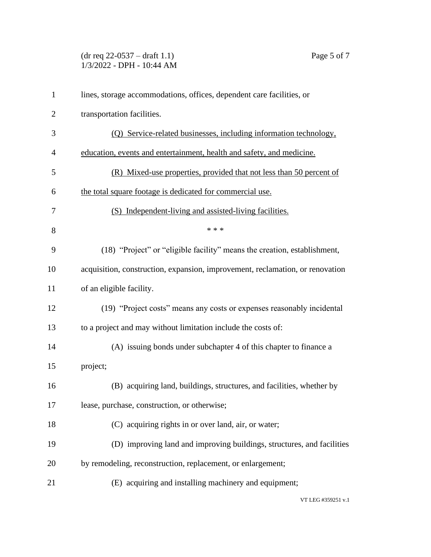## $(\text{dr } \text{req } 22\text{-}0537 - \text{draff } 1.1)$  Page 5 of 7 1/3/2022 - DPH - 10:44 AM

| $\mathbf{1}$   | lines, storage accommodations, offices, dependent care facilities, or         |
|----------------|-------------------------------------------------------------------------------|
| $\overline{2}$ | transportation facilities.                                                    |
| 3              | (Q) Service-related businesses, including information technology,             |
| $\overline{4}$ | education, events and entertainment, health and safety, and medicine.         |
| 5              | (R) Mixed-use properties, provided that not less than 50 percent of           |
| 6              | the total square footage is dedicated for commercial use.                     |
| 7              | (S) Independent-living and assisted-living facilities.                        |
| 8              | * * *                                                                         |
| 9              | (18) "Project" or "eligible facility" means the creation, establishment,      |
| 10             | acquisition, construction, expansion, improvement, reclamation, or renovation |
| 11             | of an eligible facility.                                                      |
| 12             | (19) "Project costs" means any costs or expenses reasonably incidental        |
| 13             | to a project and may without limitation include the costs of:                 |
| 14             | (A) issuing bonds under subchapter 4 of this chapter to finance a             |
| 15             | project;                                                                      |
| 16             | (B) acquiring land, buildings, structures, and facilities, whether by         |
| 17             | lease, purchase, construction, or otherwise;                                  |
| 18             | (C) acquiring rights in or over land, air, or water;                          |
| 19             | (D) improving land and improving buildings, structures, and facilities        |
| 20             | by remodeling, reconstruction, replacement, or enlargement;                   |
| 21             | (E) acquiring and installing machinery and equipment;                         |
|                |                                                                               |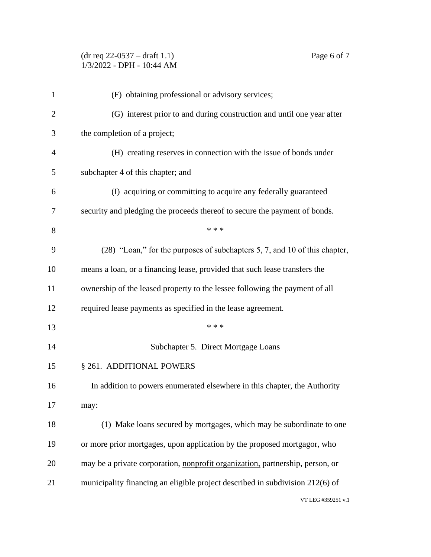## (dr req 22-0537 – draft 1.1) Page 6 of 7 1/3/2022 - DPH - 10:44 AM

| $\mathbf{1}$   | (F) obtaining professional or advisory services;                              |
|----------------|-------------------------------------------------------------------------------|
| $\overline{2}$ | (G) interest prior to and during construction and until one year after        |
| 3              | the completion of a project;                                                  |
| 4              | (H) creating reserves in connection with the issue of bonds under             |
| 5              | subchapter 4 of this chapter; and                                             |
| 6              | (I) acquiring or committing to acquire any federally guaranteed               |
| 7              | security and pledging the proceeds thereof to secure the payment of bonds.    |
| 8              | * * *                                                                         |
| 9              | (28) "Loan," for the purposes of subchapters 5, 7, and 10 of this chapter,    |
| 10             | means a loan, or a financing lease, provided that such lease transfers the    |
| 11             | ownership of the leased property to the lessee following the payment of all   |
| 12             | required lease payments as specified in the lease agreement.                  |
| 13             | * * *                                                                         |
| 14             | Subchapter 5. Direct Mortgage Loans                                           |
| 15             | § 261. ADDITIONAL POWERS                                                      |
| 16             | In addition to powers enumerated elsewhere in this chapter, the Authority     |
| 17             | may:                                                                          |
| 18             | (1) Make loans secured by mortgages, which may be subordinate to one          |
| 19             | or more prior mortgages, upon application by the proposed mortgagor, who      |
| 20             | may be a private corporation, nonprofit organization, partnership, person, or |
| 21             | municipality financing an eligible project described in subdivision 212(6) of |
|                | VT LEG #359251 v.1                                                            |